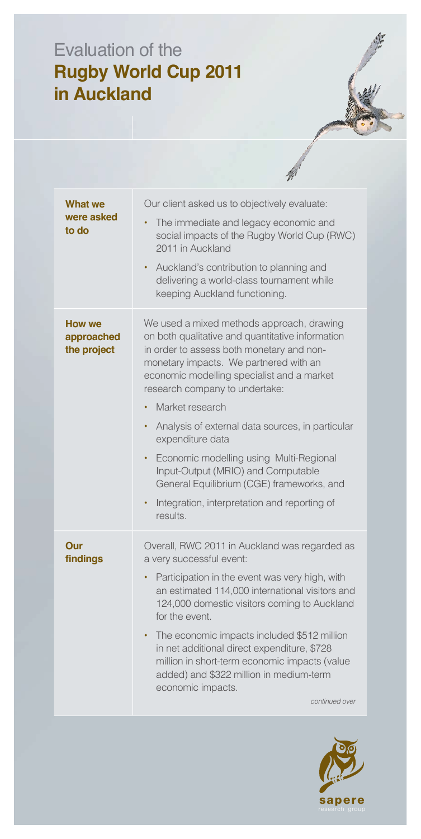## Evaluation of the **Rugby World Cup 2011** in Auckland

| <b>What we</b><br>were asked<br>to do      | Our client asked us to objectively evaluate:<br>The immediate and legacy economic and<br>$\bullet$<br>social impacts of the Rugby World Cup (RWC)<br>2011 in Auckland<br>Auckland's contribution to planning and<br>٠<br>delivering a world-class tournament while<br>keeping Auckland functioning.                                                                                                                                                                                                                                                                                                   |
|--------------------------------------------|-------------------------------------------------------------------------------------------------------------------------------------------------------------------------------------------------------------------------------------------------------------------------------------------------------------------------------------------------------------------------------------------------------------------------------------------------------------------------------------------------------------------------------------------------------------------------------------------------------|
| <b>How we</b><br>approached<br>the project | We used a mixed methods approach, drawing<br>on both qualitative and quantitative information<br>in order to assess both monetary and non-<br>monetary impacts. We partnered with an<br>economic modelling specialist and a market<br>research company to undertake:<br>Market research<br>$\bullet$<br>Analysis of external data sources, in particular<br>٠<br>expenditure data<br>Economic modelling using Multi-Regional<br>$\bullet$<br>Input-Output (MRIO) and Computable<br>General Equilibrium (CGE) frameworks, and<br>Integration, interpretation and reporting of<br>$\bullet$<br>results. |
| Our<br>findings                            | Overall, RWC 2011 in Auckland was regarded as<br>a very successful event:<br>Participation in the event was very high, with<br>$\bullet$<br>an estimated 114,000 international visitors and<br>124,000 domestic visitors coming to Auckland<br>for the event.<br>The economic impacts included \$512 million<br>in net additional direct expenditure, \$728<br>million in short-term economic impacts (value<br>added) and \$322 million in medium-term<br>economic impacts.<br>continued over                                                                                                        |

Ŵ